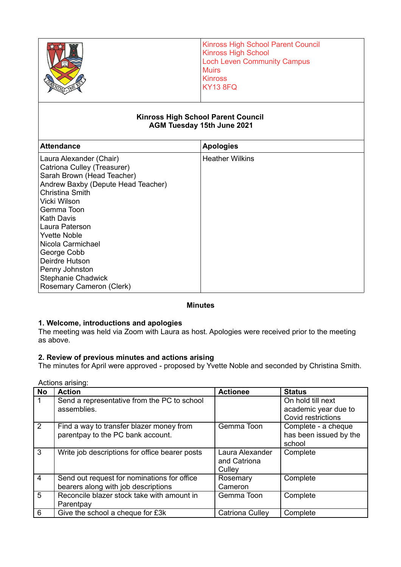### **Kinross High School Parent Council AGM Tuesday 15th June 2021**

| <b>Attendance</b>                  | <b>Apologies</b>       |
|------------------------------------|------------------------|
| Laura Alexander (Chair)            | <b>Heather Wilkins</b> |
| Catriona Culley (Treasurer)        |                        |
| Sarah Brown (Head Teacher)         |                        |
| Andrew Baxby (Depute Head Teacher) |                        |
| <b>Christina Smith</b>             |                        |
| Vicki Wilson                       |                        |
| Gemma Toon                         |                        |
| Kath Davis                         |                        |
| Laura Paterson                     |                        |
| <b>Yvette Noble</b>                |                        |
| Nicola Carmichael                  |                        |
| George Cobb                        |                        |
| Deirdre Hutson                     |                        |
| Penny Johnston                     |                        |
| <b>Stephanie Chadwick</b>          |                        |
| Rosemary Cameron (Clerk)           |                        |

## **Minutes**

# **1. Welcome, introductions and apologies**

The meeting was held via Zoom with Laura as host. Apologies were received prior to the meeting as above.

# **2. Review of previous minutes and actions arising**

The minutes for April were approved - proposed by Yvette Noble and seconded by Christina Smith.

|                | הטווטווס מווטוועה.                                                                 |                                           |                                                                 |  |  |  |  |
|----------------|------------------------------------------------------------------------------------|-------------------------------------------|-----------------------------------------------------------------|--|--|--|--|
| No             | <b>Action</b>                                                                      | <b>Actionee</b>                           | <b>Status</b>                                                   |  |  |  |  |
|                | Send a representative from the PC to school<br>assemblies.                         |                                           | On hold till next<br>academic year due to<br>Covid restrictions |  |  |  |  |
| 2              | Find a way to transfer blazer money from<br>parentpay to the PC bank account.      | Gemma Toon                                | Complete - a cheque<br>has been issued by the<br>school         |  |  |  |  |
| 3              | Write job descriptions for office bearer posts                                     | Laura Alexander<br>and Catriona<br>Culley | Complete                                                        |  |  |  |  |
| $\overline{4}$ | Send out request for nominations for office<br>bearers along with job descriptions | Rosemary<br>Cameron                       | Complete                                                        |  |  |  |  |
| 5              | Reconcile blazer stock take with amount in<br>Parentpay                            | Gemma Toon                                | Complete                                                        |  |  |  |  |
| 6              | Give the school a cheque for £3k                                                   | Catriona Culley                           | Complete                                                        |  |  |  |  |

Actions arising: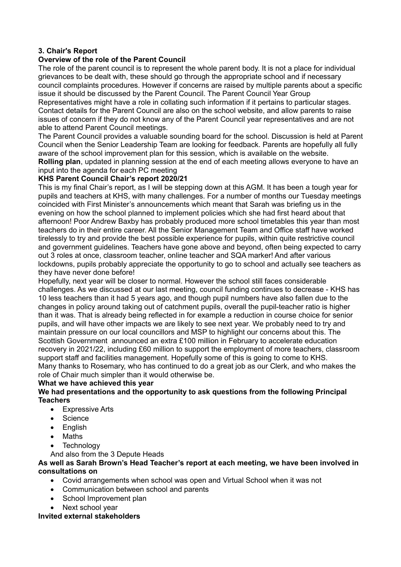# **3. Chair's Report**

# **Overview of the role of the Parent Council**

The role of the parent council is to represent the whole parent body. It is not a place for individual grievances to be dealt with, these should go through the appropriate school and if necessary council complaints procedures. However if concerns are raised by multiple parents about a specific issue it should be discussed by the Parent Council. The Parent Council Year Group

Representatives might have a role in collating such information if it pertains to particular stages. Contact details for the Parent Council are also on the school website, and allow parents to raise issues of concern if they do not know any of the Parent Council year representatives and are not able to attend Parent Council meetings.

The Parent Council provides a valuable sounding board for the school. Discussion is held at Parent Council when the Senior Leadership Team are looking for feedback. Parents are hopefully all fully aware of the school improvement plan for this session, which is available on the website. **Rolling plan**, updated in planning session at the end of each meeting allows everyone to have an input into the agenda for each PC meeting

# **KHS Parent Council Chair's report 2020/21**

This is my final Chair's report, as I will be stepping down at this AGM. It has been a tough year for pupils and teachers at KHS, with many challenges. For a number of months our Tuesday meetings coincided with First Minister's announcements which meant that Sarah was briefing us in the evening on how the school planned to implement policies which she had first heard about that afternoon! Poor Andrew Baxby has probably produced more school timetables this year than most teachers do in their entire career. All the Senior Management Team and Office staff have worked tirelessly to try and provide the best possible experience for pupils, within quite restrictive council and government guidelines. Teachers have gone above and beyond, often being expected to carry out 3 roles at once, classroom teacher, online teacher and SQA marker! And after various lockdowns, pupils probably appreciate the opportunity to go to school and actually see teachers as they have never done before!

Hopefully, next year will be closer to normal. However the school still faces considerable challenges. As we discussed at our last meeting, council funding continues to decrease - KHS has 10 less teachers than it had 5 years ago, and though pupil numbers have also fallen due to the changes in policy around taking out of catchment pupils, overall the pupil-teacher ratio is higher than it was. That is already being reflected in for example a reduction in course choice for senior pupils, and will have other impacts we are likely to see next year. We probably need to try and maintain pressure on our local councillors and MSP to highlight our concerns about this. The Scottish Government announced an extra £100 million in February to accelerate education recovery in 2021/22, including £60 million to support the employment of more teachers, classroom support staff and facilities management. Hopefully some of this is going to come to KHS. Many thanks to Rosemary, who has continued to do a great job as our Clerk, and who makes the role of Chair much simpler than it would otherwise be.

## **What we have achieved this year**

## **We had presentations and the opportunity to ask questions from the following Principal Teachers**

- Expressive Arts
- Science
- English
- Maths
- **Technology**

And also from the 3 Depute Heads

#### **As well as Sarah Brown's Head Teacher's report at each meeting, we have been involved in consultations on**

- Covid arrangements when school was open and Virtual School when it was not
- Communication between school and parents
- School Improvement plan
- Next school year

#### **Invited external stakeholders**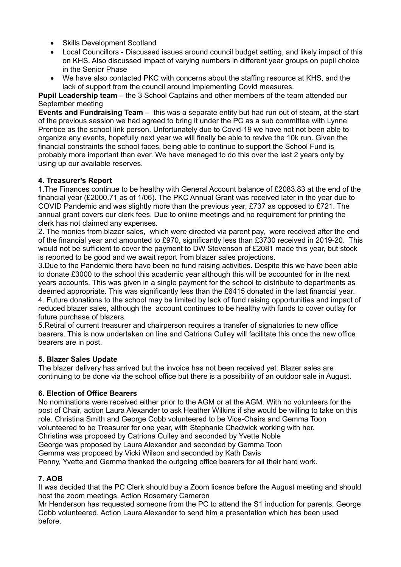- Skills Development Scotland
- Local Councillors Discussed issues around council budget setting, and likely impact of this on KHS. Also discussed impact of varying numbers in different year groups on pupil choice in the Senior Phase
- We have also contacted PKC with concerns about the staffing resource at KHS, and the lack of support from the council around implementing Covid measures.

**Pupil Leadership team** – the 3 School Captains and other members of the team attended our September meeting

**Events and Fundraising Team** – this was a separate entity but had run out of steam, at the start of the previous session we had agreed to bring it under the PC as a sub committee with Lynne Prentice as the school link person. Unfortunately due to Covid-19 we have not not been able to organize any events, hopefully next year we will finally be able to revive the 10k run. Given the financial constraints the school faces, being able to continue to support the School Fund is probably more important than ever. We have managed to do this over the last 2 years only by using up our available reserves.

# **4. Treasurer's Report**

1.The Finances continue to be healthy with General Account balance of £2083.83 at the end of the financial year (£2000.71 as of 1/06). The PKC Annual Grant was received later in the year due to COVID Pandemic and was slightly more than the previous year, £737 as opposed to £721. The annual grant covers our clerk fees. Due to online meetings and no requirement for printing the clerk has not claimed any expenses.

2. The monies from blazer sales, which were directed via parent pay, were received after the end of the financial year and amounted to £970, significantly less than £3730 received in 2019-20. This would not be sufficient to cover the payment to DW Stevenson of £2081 made this year, but stock is reported to be good and we await report from blazer sales projections.

3.Due to the Pandemic there have been no fund raising activities. Despite this we have been able to donate £3000 to the school this academic year although this will be accounted for in the next years accounts. This was given in a single payment for the school to distribute to departments as deemed appropriate. This was significantly less than the £6415 donated in the last financial year. 4. Future donations to the school may be limited by lack of fund raising opportunities and impact of reduced blazer sales, although the account continues to be healthy with funds to cover outlay for future purchase of blazers.

5.Retiral of current treasurer and chairperson requires a transfer of signatories to new office bearers. This is now undertaken on line and Catriona Culley will facilitate this once the new office bearers are in post.

# **5. Blazer Sales Update**

The blazer delivery has arrived but the invoice has not been received yet. Blazer sales are continuing to be done via the school office but there is a possibility of an outdoor sale in August.

## **6. Election of Office Bearers**

No nominations were received either prior to the AGM or at the AGM. With no volunteers for the post of Chair, action Laura Alexander to ask Heather Wilkins if she would be willing to take on this role. Christina Smith and George Cobb volunteered to be Vice-Chairs and Gemma Toon volunteered to be Treasurer for one year, with Stephanie Chadwick working with her. Christina was proposed by Catriona Culley and seconded by Yvette Noble George was proposed by Laura Alexander and seconded by Gemma Toon Gemma was proposed by Vicki Wilson and seconded by Kath Davis Penny, Yvette and Gemma thanked the outgoing office bearers for all their hard work.

## **7. AOB**

It was decided that the PC Clerk should buy a Zoom licence before the August meeting and should host the zoom meetings. Action Rosemary Cameron

Mr Henderson has requested someone from the PC to attend the S1 induction for parents. George Cobb volunteered. Action Laura Alexander to send him a presentation which has been used before.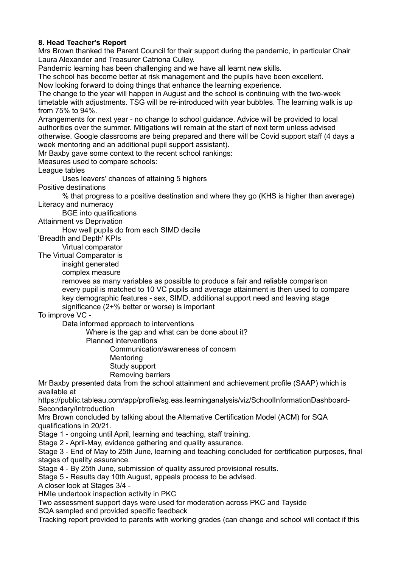# **8. Head Teacher's Report**

Mrs Brown thanked the Parent Council for their support during the pandemic, in particular Chair Laura Alexander and Treasurer Catriona Culley.

Pandemic learning has been challenging and we have all learnt new skills.

The school has become better at risk management and the pupils have been excellent. Now looking forward to doing things that enhance the learning experience.

The change to the year will happen in August and the school is continuing with the two-week timetable with adjustments. TSG will be re-introduced with year bubbles. The learning walk is up from 75% to 94%.

Arrangements for next year - no change to school guidance. Advice will be provided to local authorities over the summer. Mitigations will remain at the start of next term unless advised otherwise. Google classrooms are being prepared and there will be Covid support staff (4 days a week mentoring and an additional pupil support assistant).

Mr Baxby gave some context to the recent school rankings:

Measures used to compare schools:

League tables

Uses leavers' chances of attaining 5 highers

Positive destinations

% that progress to a positive destination and where they go (KHS is higher than average) Literacy and numeracy

BGE into qualifications

Attainment vs Deprivation

How well pupils do from each SIMD decile

'Breadth and Depth' KPIs

Virtual comparator

The Virtual Comparator is

insight generated

complex measure

removes as many variables as possible to produce a fair and reliable comparison every pupil is matched to 10 VC pupils and average attainment is then used to compare key demographic features - sex, SIMD, additional support need and leaving stage significance (2+% better or worse) is important

To improve VC -

Data informed approach to interventions

Where is the gap and what can be done about it?

Planned interventions

Communication/awareness of concern

- **Mentoring**
- Study support
- Removing barriers

Mr Baxby presented data from the school attainment and achievement profile (SAAP) which is available at

https://public.tableau.com/app/profile/sg.eas.learninganalysis/viz/SchoolInformationDashboard-Secondary/Introduction

Mrs Brown concluded by talking about the Alternative Certification Model (ACM) for SQA qualifications in 20/21.

Stage 1 - ongoing until April, learning and teaching, staff training.

Stage 2 - April-May, evidence gathering and quality assurance.

Stage 3 - End of May to 25th June, learning and teaching concluded for certification purposes, final stages of quality assurance.

Stage 4 - By 25th June, submission of quality assured provisional results.

Stage 5 - Results day 10th August, appeals process to be advised.

A closer look at Stages 3/4 -

HMIe undertook inspection activity in PKC

Two assessment support days were used for moderation across PKC and Tayside

SQA sampled and provided specific feedback

Tracking report provided to parents with working grades (can change and school will contact if this